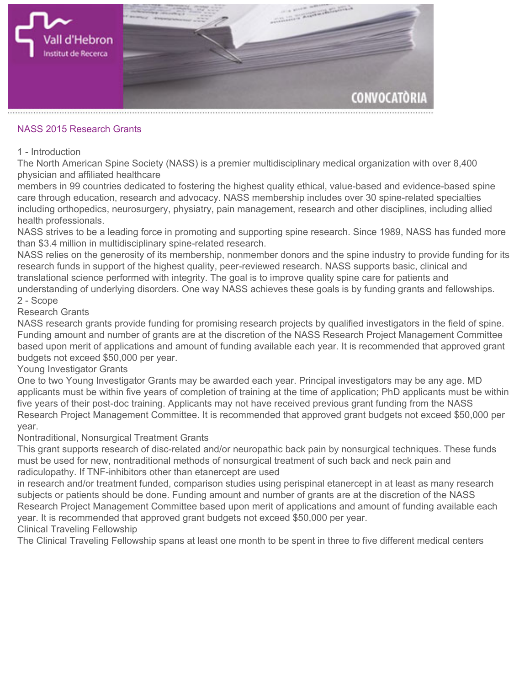

## **NASS 2015 Research Grants**

## **1 - Introduction**

**The North American Spine Society (NASS) is a premier multidisciplinary medical organization with over 8,400 physician and affiliated healthcare**

**members in 99 countries dedicated to fostering the highest quality ethical, value-based and evidence-based spine care through education, research and advocacy. NASS membership includes over 30 spine-related specialties including orthopedics, neurosurgery, physiatry, pain management, research and other disciplines, including allied health professionals.**

**NASS strives to be a leading force in promoting and supporting spine research. Since 1989, NASS has funded more than \$3.4 million in multidisciplinary spine-related research.**

**NASS relies on the generosity of its membership, nonmember donors and the spine industry to provide funding for its research funds in support of the highest quality, peer-reviewed research. NASS supports basic, clinical and translational science performed with integrity. The goal is to improve quality spine care for patients and understanding of underlying disorders. One way NASS achieves these goals is by funding grants and fellowships. 2 - Scope**

## **Research Grants**

**NASS research grants provide funding for promising research projects by qualified investigators in the field of spine. Funding amount and number of grants are at the discretion of the NASS Research Project Management Committee based upon merit of applications and amount of funding available each year. It is recommended that approved grant budgets not exceed \$50,000 per year.**

**Young Investigator Grants**

**One to two Young Investigator Grants may be awarded each year. Principal investigators may be any age. MD applicants must be within five years of completion of training at the time of application; PhD applicants must be within five years of their post-doc training. Applicants may not have received previous grant funding from the NASS Research Project Management Committee. It is recommended that approved grant budgets not exceed \$50,000 per year.**

## **Nontraditional, Nonsurgical Treatment Grants**

**This grant supports research of disc-related and/or neuropathic back pain by nonsurgical techniques. These funds must be used for new, nontraditional methods of nonsurgical treatment of such back and neck pain and radiculopathy. If TNF-inhibitors other than etanercept are used**

**in research and/or treatment funded, comparison studies using perispinal etanercept in at least as many research subjects or patients should be done. Funding amount and number of grants are at the discretion of the NASS Research Project Management Committee based upon merit of applications and amount of funding available each year. It is recommended that approved grant budgets not exceed \$50,000 per year.**

**Clinical Traveling Fellowship**

**The Clinical Traveling Fellowship spans at least one month to be spent in three to five different medical centers**